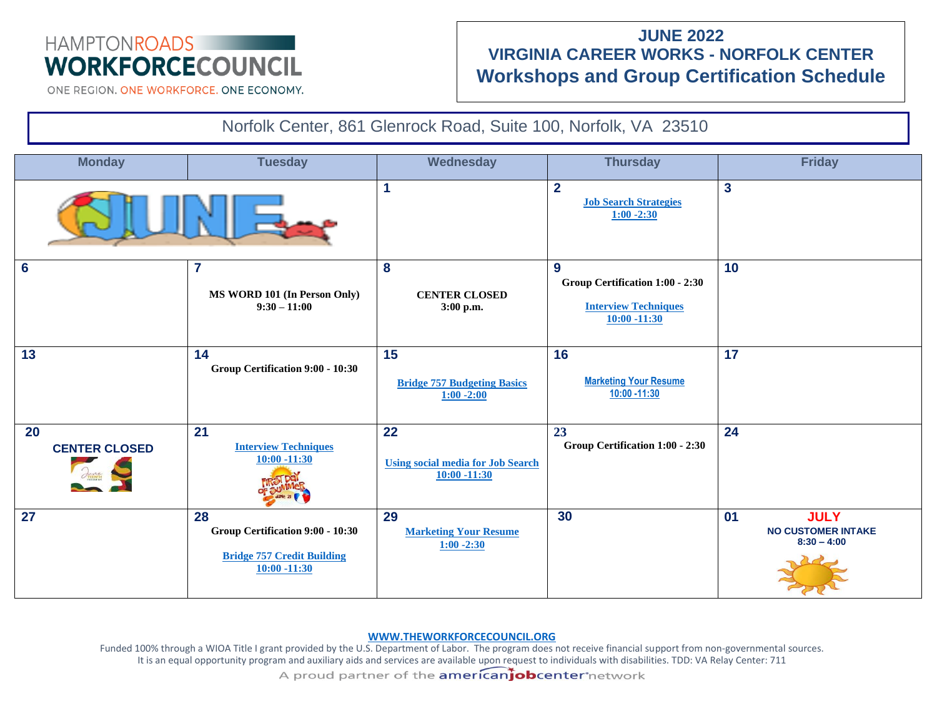# HAMPTONROADS **WORKFORCECOUNCIL**

## **JUNE 2022 VIRGINIA CAREER WORKS - NORFOLK CENTER Workshops and Group Certification Schedule**

ONE REGION, ONE WORKFORCE, ONE ECONOMY.



#### **[WWW.THEWORKFORCECOUNCIL.ORG](http://www.theworkforcecouncil.org/)**

Funded 100% through a WIOA Title I grant provided by the U.S. Department of Labor. The program does not receive financial support from non-governmental sources. It is an equal opportunity program and auxiliary aids and services are available upon request to individuals with disabilities. TDD: VA Relay Center: 711 A proud partner of the **americaniobcenter** network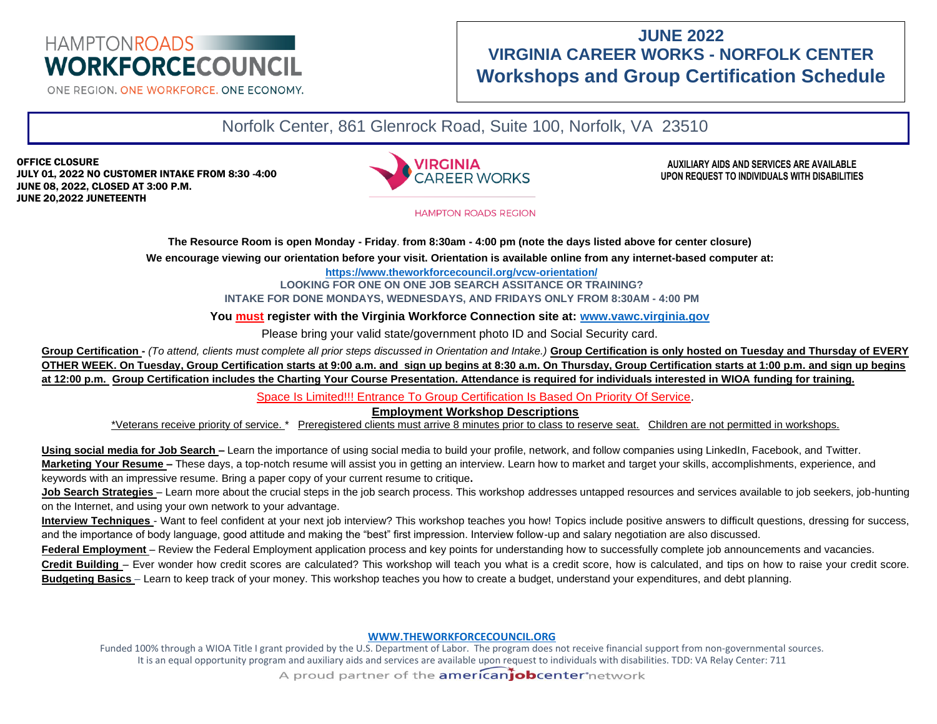# HAMPTONROADS **WORKFORCECOUNCIL**

ONE REGION, ONE WORKFORCE, ONE ECONOMY.

## **JUNE 2022 VIRGINIA CAREER WORKS - NORFOLK CENTER Workshops and Group Certification Schedule**

Norfolk Center, 861 Glenrock Road, Suite 100, Norfolk, VA 23510

OFFICE CLOSURE JULY 01, 2022 NO CUSTOMER INTAKE FROM 8:30 -4:00 JUNE 08, 2022, CLOSED AT 3:00 P.M. JUNE 20,2022 JUNETEENTH



**AUXILIARY AIDS AND SERVICES ARE AVAILABLE UPON REQUEST TO INDIVIDUALS WITH DISABILITIES**

**HAMPTON ROADS REGION** 

**The Resource Room is open Monday - Friday**. **from 8:30am - 4:00 pm (note the days listed above for center closure)** 

**We encourage viewing our orientation before your visit. Orientation is available online from any internet-based computer at:**

**<https://www.theworkforcecouncil.org/vcw-orientation/>**

**LOOKING FOR ONE ON ONE JOB SEARCH ASSITANCE OR TRAINING? INTAKE FOR DONE MONDAYS, WEDNESDAYS, AND FRIDAYS ONLY FROM 8:30AM - 4:00 PM** 

**You must register with the Virginia Workforce Connection site at: [www.vawc.virginia.gov](http://www.vawc.virginia.gov/)**

Please bring your valid state/government photo ID and Social Security card.

**Group Certification -** *(To attend, clients must complete all prior steps discussed in Orientation and Intake.)* **Group Certification is only hosted on Tuesday and Thursday of EVERY OTHER WEEK. On Tuesday, Group Certification starts at 9:00 a.m. and sign up begins at 8:30 a.m. On Thursday, Group Certification starts at 1:00 p.m. and sign up begins at 12:00 p.m. Group Certification includes the Charting Your Course Presentation. Attendance is required for individuals interested in WIOA funding for training.** 

Space Is Limited!!! Entrance To Group Certification Is Based On Priority Of Service.

**Employment Workshop Descriptions**

\*Veterans receive priority of service. \* Preregistered clients must arrive 8 minutes prior to class to reserve seat. Children are not permitted in workshops.

Using social media for Job Search – Learn the importance of using social media to build your profile, network, and follow companies using LinkedIn, Facebook, and Twitter. **Marketing Your Resume –** These days, a top-notch resume will assist you in getting an interview. Learn how to market and target your skills, accomplishments, experience, and keywords with an impressive resume. Bring a paper copy of your current resume to critique**.**

Job Search Strategies – Learn more about the crucial steps in the job search process. This workshop addresses untapped resources and services available to job seekers, job-hunting on the Internet, and using your own network to your advantage.

**Interview Techniques** - Want to feel confident at your next job interview? This workshop teaches you how! Topics include positive answers to difficult questions, dressing for success, and the importance of body language, good attitude and making the "best" first impression. Interview follow-up and salary negotiation are also discussed.

Federal Employment – Review the Federal Employment application process and key points for understanding how to successfully complete job announcements and vacancies.

**Credit Building** – Ever wonder how credit scores are calculated? This workshop will teach you what is a credit score, how is calculated, and tips on how to raise your credit score. **Budgeting Basics** – Learn to keep track of your money. This workshop teaches you how to create a budget, understand your expenditures, and debt planning.

#### **[WWW.THEWORKFORCECOUNCIL.ORG](http://www.theworkforcecouncil.org/)**

Funded 100% through a WIOA Title I grant provided by the U.S. Department of Labor. The program does not receive financial support from non-governmental sources. It is an equal opportunity program and auxiliary aids and services are available upon request to individuals with disabilities. TDD: VA Relay Center: 711 A proud partner of the **americaniobcenter** network